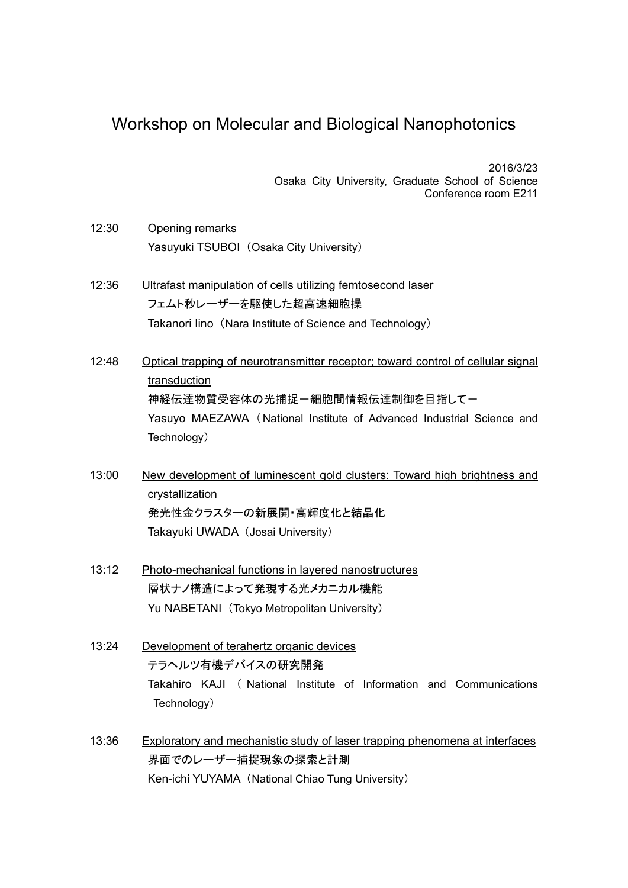## Workshop on Molecular and Biological Nanophotonics

2016/3/23 Osaka City University, Graduate School of Science Conference room E211

- 12:30 Opening remarks Yasuyuki TSUBOI (Osaka City University)
- 12:36 Ultrafast manipulation of cells utilizing femtosecond laser フェムト秒レーザーを駆使した超高速細胞操 Takanori Iino (Nara Institute of Science and Technology)
- 12:48 Optical trapping of neurotransmitter receptor; toward control of cellular signal transduction 神経伝達物質受容体の光捕捉ー細胞間情報伝達制御を目指してー Yasuyo MAEZAWA (National Institute of Advanced Industrial Science and Technology)
- 13:00 New development of luminescent gold clusters: Toward high brightness and crystallization 発光性金クラスターの新展開・高輝度化と結晶化 Takayuki UWADA (Josai University)
- 13:12 Photo-mechanical functions in layered nanostructures 層状ナノ構造によって発現する光メカニカル機能 Yu NABETANI (Tokyo Metropolitan University)
- 13:24 Development of terahertz organic devices テラヘルツ有機デバイスの研究開発 Takahiro KAJI ( National Institute of Information and Communications Technology)
- 13:36 Exploratory and mechanistic study of laser trapping phenomena at interfaces 界面でのレーザー捕捉現象の探索と計測 Ken-ichi YUYAMA (National Chiao Tung University)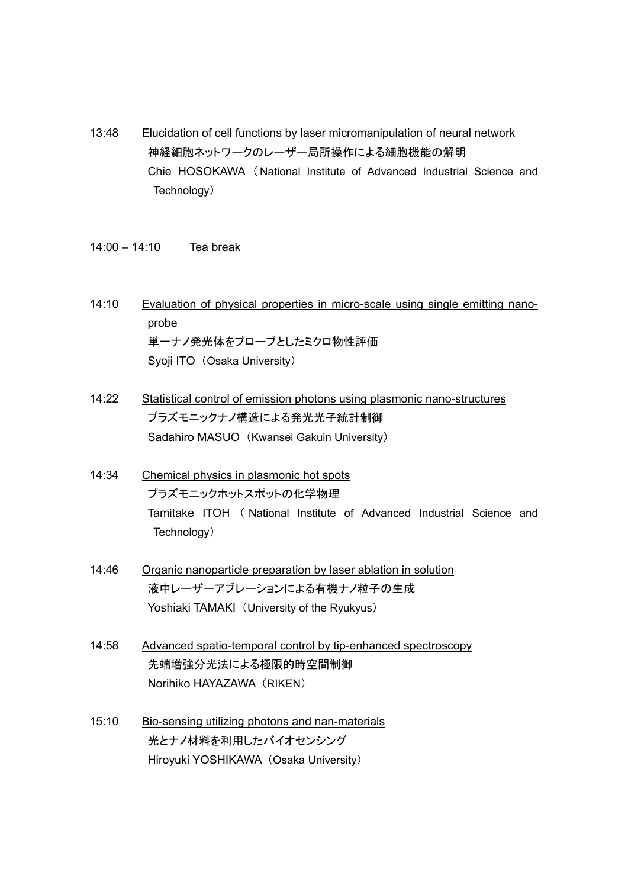- 13:48 Elucidation of cell functions by laser micromanipulation of neural network 神経細胞ネットワークのレーザー局所操作による細胞機能の解明 Chie HOSOKAWA ( National Institute of Advanced Industrial Science and Technology)
- 14:00 14:10 Tea break
- 14:10 Evaluation of physical properties in micro-scale using single emitting nanoprobe 単一ナノ発光体をプローブとしたミクロ物性評価 Syoji ITO (Osaka University)
- 14:22 Statistical control of emission photons using plasmonic nano-structures プラズモニックナノ構造による発光光子統計制御 Sadahiro MASUO (Kwansei Gakuin University)
- 14:34 Chemical physics in plasmonic hot spots プラズモニックホットスポットの化学物理 Tamitake ITOH ( National Institute of Advanced Industrial Science and Technology)
- 14:46 Organic nanoparticle preparation by laser ablation in solution 液中レーザーアブレーションによる有機ナノ粒子の生成 Yoshiaki TAMAKI (University of the Ryukyus)
- 14:58 Advanced spatio-temporal control by tip-enhanced spectroscopy 先端増強分光法による極限的時空間制御 Norihiko HAYAZAWA (RIKEN)
- 15:10 Bio-sensing utilizing photons and nan-materials 光とナノ材料を利用したバイオセンシング Hiroyuki YOSHIKAWA (Osaka University)